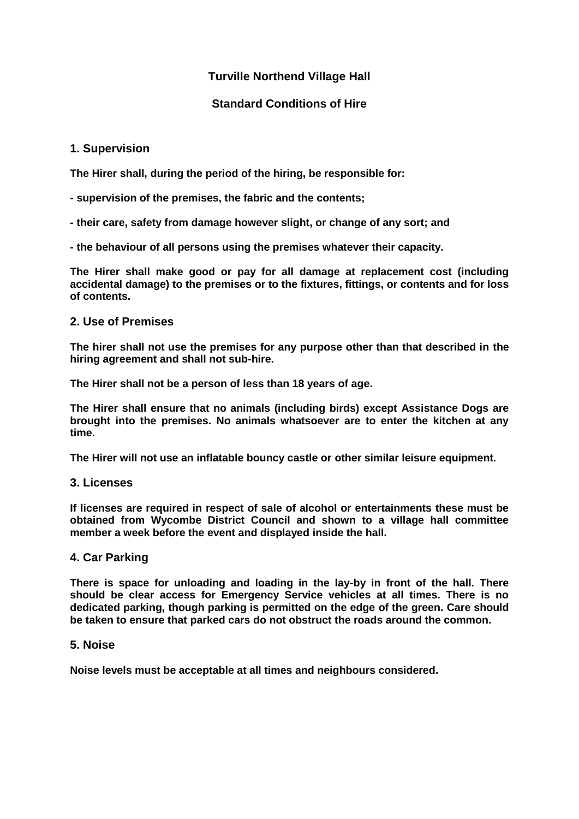# **Turville Northend Village Hall**

## **Standard Conditions of Hire**

### **1. Supervision**

**The Hirer shall, during the period of the hiring, be responsible for:**

- **- supervision of the premises, the fabric and the contents;**
- **- their care, safety from damage however slight, or change of any sort; and**
- **- the behaviour of all persons using the premises whatever their capacity.**

**The Hirer shall make good or pay for all damage at replacement cost (including accidental damage) to the premises or to the fixtures, fittings, or contents and for loss of contents.**

### **2. Use of Premises**

**The hirer shall not use the premises for any purpose other than that described in the hiring agreement and shall not sub-hire.**

**The Hirer shall not be a person of less than 18 years of age.**

**The Hirer shall ensure that no animals (including birds) except Assistance Dogs are brought into the premises. No animals whatsoever are to enter the kitchen at any time.**

**The Hirer will not use an inflatable bouncy castle or other similar leisure equipment.**

### **3. Licenses**

**If licenses are required in respect of sale of alcohol or entertainments these must be obtained from Wycombe District Council and shown to a village hall committee member a week before the event and displayed inside the hall.**

### **4. Car Parking**

**There is space for unloading and loading in the lay-by in front of the hall. There should be clear access for Emergency Service vehicles at all times. There is no dedicated parking, though parking is permitted on the edge of the green. Care should be taken to ensure that parked cars do not obstruct the roads around the common.**

### **5. Noise**

**Noise levels must be acceptable at all times and neighbours considered.**